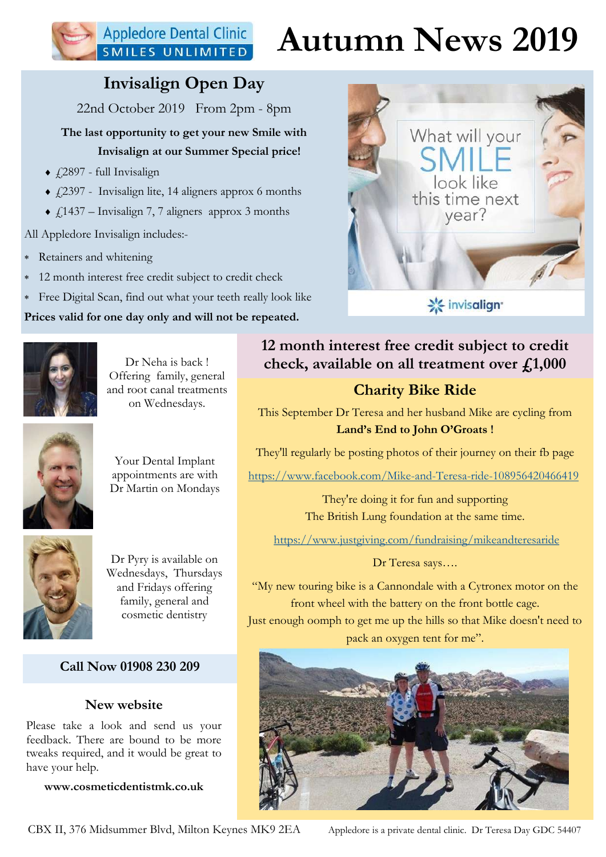## **Appledore Dental Clinic** SMILES UNLIMITED

## Autumn News 2019

What will your

look like this time next year?

## Invisalign Open Day

22nd October 2019 From 2pm - 8pm

The last opportunity to get your new Smile with Invisalign at our Summer Special price!

- $\triangle$  £2897 full Invisalign
- $\triangleleft$  £2397 Invisalign lite, 14 aligners approx 6 months
- $\triangleleft$  £1437 Invisalign 7, 7 aligners approx 3 months

All Appledore Invisalign includes:-

- Retainers and whitening
- 12 month interest free credit subject to credit check
- Free Digital Scan, find out what your teeth really look like

Prices valid for one day only and will not be repeated.



Dr Neha is back ! Offering family, general and root canal treatments on Wednesdays.



Your Dental Implant appointments are with Dr Martin on Mondays



Dr Pyry is available on Wednesdays, Thursdays and Fridays offering family, general and cosmetic dentistry

### Call Now 01908 230 209

### New website

Please take a look and send us your feedback. There are bound to be more tweaks required, and it would be great to have your help.

www.cosmeticdentistmk.co.uk

## **※ invisalign** 12 month interest free credit subject to credit check, available on all treatment over  $f_{1,1}$ ,000

## Charity Bike Ride

This September Dr Teresa and her husband Mike are cycling from Land's End to John O'Groats !

They'll regularly be posting photos of their journey on their fb page

https://www.facebook.com/Mike-and-Teresa-ride-108956420466419

They're doing it for fun and supporting The British Lung foundation at the same time.

https://www.justgiving.com/fundraising/mikeandteresaride

### Dr Teresa says….

"My new touring bike is a Cannondale with a Cytronex motor on the front wheel with the battery on the front bottle cage. Just enough oomph to get me up the hills so that Mike doesn't need to pack an oxygen tent for me".



CBX II, 376 Midsummer Blvd, Milton Keynes MK9 2EA Appledore is a private dental clinic. Dr Teresa Day GDC 54407